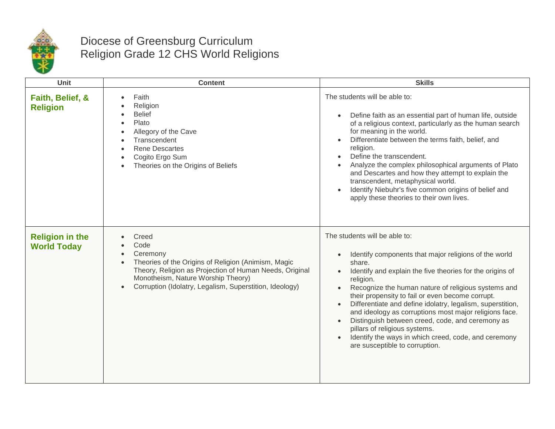

## Diocese of Greensburg Curriculum Religion Grade 12 CHS World Religions

| Unit                                         | <b>Content</b>                                                                                                                                                                                                                                            | <b>Skills</b>                                                                                                                                                                                                                                                                                                                                                                                                                                                                                                                                                                                                                                    |
|----------------------------------------------|-----------------------------------------------------------------------------------------------------------------------------------------------------------------------------------------------------------------------------------------------------------|--------------------------------------------------------------------------------------------------------------------------------------------------------------------------------------------------------------------------------------------------------------------------------------------------------------------------------------------------------------------------------------------------------------------------------------------------------------------------------------------------------------------------------------------------------------------------------------------------------------------------------------------------|
| Faith, Belief, &<br><b>Religion</b>          | Faith<br>Religion<br><b>Belief</b><br>Plato<br>Allegory of the Cave<br>Transcendent<br><b>Rene Descartes</b><br>Cogito Ergo Sum<br>Theories on the Origins of Beliefs                                                                                     | The students will be able to:<br>Define faith as an essential part of human life, outside<br>$\bullet$<br>of a religious context, particularly as the human search<br>for meaning in the world.<br>Differentiate between the terms faith, belief, and<br>religion.<br>Define the transcendent.<br>Analyze the complex philosophical arguments of Plato<br>and Descartes and how they attempt to explain the<br>transcendent, metaphysical world.<br>Identify Niebuhr's five common origins of belief and<br>apply these theories to their own lives.                                                                                             |
| <b>Religion in the</b><br><b>World Today</b> | Creed<br>Code<br>Ceremony<br>Theories of the Origins of Religion (Animism, Magic<br>$\bullet$<br>Theory, Religion as Projection of Human Needs, Original<br>Monotheism, Nature Worship Theory)<br>Corruption (Idolatry, Legalism, Superstition, Ideology) | The students will be able to:<br>Identify components that major religions of the world<br>$\bullet$<br>share.<br>Identify and explain the five theories for the origins of<br>$\bullet$<br>religion.<br>Recognize the human nature of religious systems and<br>$\bullet$<br>their propensity to fail or even become corrupt.<br>Differentiate and define idolatry, legalism, superstition,<br>$\bullet$<br>and ideology as corruptions most major religions face.<br>Distinguish between creed, code, and ceremony as<br>pillars of religious systems.<br>Identify the ways in which creed, code, and ceremony<br>are susceptible to corruption. |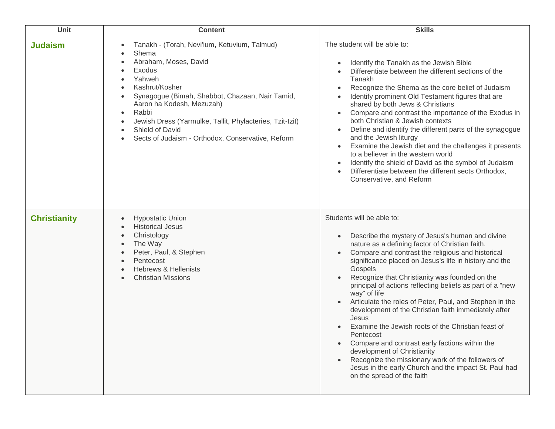| Unit                | <b>Content</b>                                                                                                                                                                                                                                                                                                                                                                   | <b>Skills</b>                                                                                                                                                                                                                                                                                                                                                                                                                                                                                                                                                                                                                                                                                                                                                                                                                                   |
|---------------------|----------------------------------------------------------------------------------------------------------------------------------------------------------------------------------------------------------------------------------------------------------------------------------------------------------------------------------------------------------------------------------|-------------------------------------------------------------------------------------------------------------------------------------------------------------------------------------------------------------------------------------------------------------------------------------------------------------------------------------------------------------------------------------------------------------------------------------------------------------------------------------------------------------------------------------------------------------------------------------------------------------------------------------------------------------------------------------------------------------------------------------------------------------------------------------------------------------------------------------------------|
| <b>Judaism</b>      | Tanakh - (Torah, Nevi'ium, Ketuvium, Talmud)<br>٠<br>Shema<br>Abraham, Moses, David<br>Exodus<br>Yahweh<br>Kashrut/Kosher<br>Synagogue (Bimah, Shabbot, Chazaan, Nair Tamid,<br>Aaron ha Kodesh, Mezuzah)<br>Rabbi<br>$\bullet$<br>Jewish Dress (Yarmulke, Tallit, Phylacteries, Tzit-tzit)<br>Shield of David<br>$\bullet$<br>Sects of Judaism - Orthodox, Conservative, Reform | The student will be able to:<br>Identify the Tanakh as the Jewish Bible<br>$\bullet$<br>Differentiate between the different sections of the<br>Tanakh<br>Recognize the Shema as the core belief of Judaism<br>$\bullet$<br>Identify prominent Old Testament figures that are<br>shared by both Jews & Christians<br>Compare and contrast the importance of the Exodus in<br>$\bullet$<br>both Christian & Jewish contexts<br>Define and identify the different parts of the synagogue<br>$\bullet$<br>and the Jewish liturgy<br>Examine the Jewish diet and the challenges it presents<br>$\bullet$<br>to a believer in the western world<br>Identify the shield of David as the symbol of Judaism<br>$\bullet$<br>Differentiate between the different sects Orthodox,<br>Conservative, and Reform                                              |
| <b>Christianity</b> | <b>Hypostatic Union</b><br>$\bullet$<br><b>Historical Jesus</b><br>Christology<br>The Way<br>Peter, Paul, & Stephen<br>Pentecost<br><b>Hebrews &amp; Hellenists</b><br><b>Christian Missions</b>                                                                                                                                                                                 | Students will be able to:<br>Describe the mystery of Jesus's human and divine<br>$\bullet$<br>nature as a defining factor of Christian faith.<br>Compare and contrast the religious and historical<br>$\bullet$<br>significance placed on Jesus's life in history and the<br>Gospels<br>Recognize that Christianity was founded on the<br>principal of actions reflecting beliefs as part of a "new<br>way" of life<br>Articulate the roles of Peter, Paul, and Stephen in the<br>development of the Christian faith immediately after<br>Jesus<br>Examine the Jewish roots of the Christian feast of<br>Pentecost<br>Compare and contrast early factions within the<br>development of Christianity<br>Recognize the missionary work of the followers of<br>Jesus in the early Church and the impact St. Paul had<br>on the spread of the faith |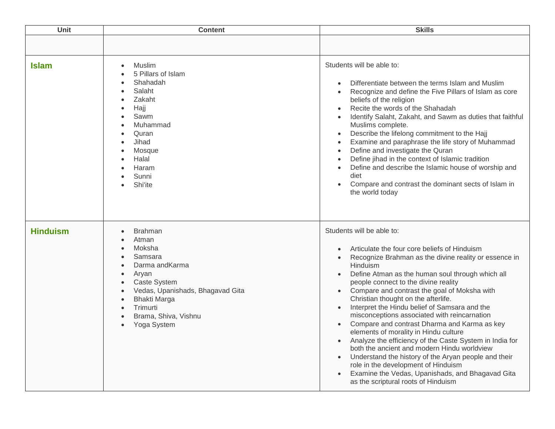| Unit            | <b>Content</b>                                                                                                                                                                                                                                                   | <b>Skills</b>                                                                                                                                                                                                                                                                                                                                                                                                                                                                                                                                                                                                                                                                                                                                                                                                                                                                                                                                        |
|-----------------|------------------------------------------------------------------------------------------------------------------------------------------------------------------------------------------------------------------------------------------------------------------|------------------------------------------------------------------------------------------------------------------------------------------------------------------------------------------------------------------------------------------------------------------------------------------------------------------------------------------------------------------------------------------------------------------------------------------------------------------------------------------------------------------------------------------------------------------------------------------------------------------------------------------------------------------------------------------------------------------------------------------------------------------------------------------------------------------------------------------------------------------------------------------------------------------------------------------------------|
|                 |                                                                                                                                                                                                                                                                  |                                                                                                                                                                                                                                                                                                                                                                                                                                                                                                                                                                                                                                                                                                                                                                                                                                                                                                                                                      |
| <b>Islam</b>    | Muslim<br>$\bullet$<br>5 Pillars of Islam<br>Shahadah<br>Salaht<br>Zakaht<br>Hajj<br>Sawm<br>Muhammad<br>Quran<br>Jihad<br>Mosque<br>Halal<br>Haram<br>Sunni<br>Shi'ite                                                                                          | Students will be able to:<br>Differentiate between the terms Islam and Muslim<br>$\bullet$<br>Recognize and define the Five Pillars of Islam as core<br>$\bullet$<br>beliefs of the religion<br>Recite the words of the Shahadah<br>$\bullet$<br>Identify Salaht, Zakaht, and Sawm as duties that faithful<br>Muslims complete.<br>Describe the lifelong commitment to the Hajj<br>$\bullet$<br>Examine and paraphrase the life story of Muhammad<br>$\bullet$<br>Define and investigate the Quran<br>$\bullet$<br>Define jihad in the context of Islamic tradition<br>$\bullet$<br>Define and describe the Islamic house of worship and<br>$\bullet$<br>diet<br>Compare and contrast the dominant sects of Islam in<br>the world today                                                                                                                                                                                                              |
| <b>Hinduism</b> | <b>Brahman</b><br>$\bullet$<br>Atman<br>Moksha<br>$\bullet$<br>Samsara<br>Darma andKarma<br>$\bullet$<br>Aryan<br><b>Caste System</b><br>Vedas, Upanishads, Bhagavad Gita<br><b>Bhakti Marga</b><br>Trimurti<br>Brama, Shiva, Vishnu<br>Yoga System<br>$\bullet$ | Students will be able to:<br>Articulate the four core beliefs of Hinduism<br>$\bullet$<br>Recognize Brahman as the divine reality or essence in<br>$\bullet$<br>Hinduism<br>Define Atman as the human soul through which all<br>$\bullet$<br>people connect to the divine reality<br>Compare and contrast the goal of Moksha with<br>$\bullet$<br>Christian thought on the afterlife.<br>Interpret the Hindu belief of Samsara and the<br>$\bullet$<br>misconceptions associated with reincarnation<br>Compare and contrast Dharma and Karma as key<br>$\bullet$<br>elements of morality in Hindu culture<br>Analyze the efficiency of the Caste System in India for<br>$\bullet$<br>both the ancient and modern Hindu worldview<br>Understand the history of the Aryan people and their<br>$\bullet$<br>role in the development of Hinduism<br>Examine the Vedas, Upanishads, and Bhagavad Gita<br>$\bullet$<br>as the scriptural roots of Hinduism |